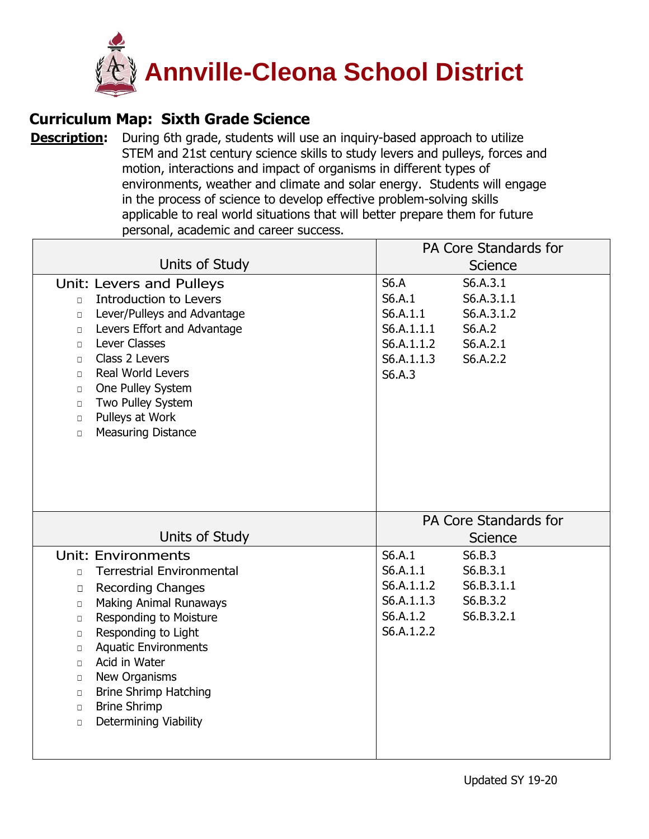

## **Curriculum Map: Sixth Grade Science**

**[Description:](https://ohsweb.cliu.org/EdInsightAnnvilleCleona/Form/Curriculum/CurriculumMapView.aspx?args=jZAC2VDJ5vsfUn6M5XufcoTAw4yGWZRnAwN39r3Jo8MwIVHEONQNvoThBA3GkgoEHalp1vB3pnd+XeXR7trH3Q==)** During 6th grade, students will use an inquiry-based approach to utilize STEM and 21st century science skills to study levers and pulleys, forces and motion, interactions and impact of organisms in different types of environments, weather and climate and solar energy. Students will engage in the process of science to develop effective problem-solving skills applicable to real world situations that will better prepare them for future personal, academic and career success.

|                                                                                                                                                                                                                                                                                                                                                                                                                                            | PA Core Standards for                                                                                                                                           |  |  |
|--------------------------------------------------------------------------------------------------------------------------------------------------------------------------------------------------------------------------------------------------------------------------------------------------------------------------------------------------------------------------------------------------------------------------------------------|-----------------------------------------------------------------------------------------------------------------------------------------------------------------|--|--|
| Units of Study                                                                                                                                                                                                                                                                                                                                                                                                                             | Science                                                                                                                                                         |  |  |
| Unit: Levers and Pulleys<br>Introduction to Levers<br>$\Box$<br>Lever/Pulleys and Advantage<br>$\Box$<br>Levers Effort and Advantage<br>$\Box$<br>Lever Classes<br>$\Box$<br>Class 2 Levers<br>$\Box$<br><b>Real World Levers</b><br>$\Box$<br>One Pulley System<br>$\Box$<br>Two Pulley System<br>$\Box$<br>Pulleys at Work<br>$\Box$<br><b>Measuring Distance</b><br>$\Box$                                                              | <b>S6.A</b><br>S6.A.3.1<br>S6.A.1<br>S6.A.3.1.1<br>S6.A.1.1<br>S6.A.3.1.2<br>S6.A.1.1.1<br>S6.A.2<br>S6.A.1.1.2<br>S6.A.2.1<br>S6.A.1.1.3<br>S6.A.2.2<br>S6.A.3 |  |  |
|                                                                                                                                                                                                                                                                                                                                                                                                                                            | PA Core Standards for                                                                                                                                           |  |  |
| Units of Study                                                                                                                                                                                                                                                                                                                                                                                                                             | <b>Science</b>                                                                                                                                                  |  |  |
| Unit: Environments<br><b>Terrestrial Environmental</b><br>$\Box$<br><b>Recording Changes</b><br>$\Box$<br><b>Making Animal Runaways</b><br>$\Box$<br>Responding to Moisture<br>$\Box$<br>Responding to Light<br>$\Box$<br><b>Aquatic Environments</b><br>$\Box$<br>Acid in Water<br>$\Box$<br>New Organisms<br>$\Box$<br><b>Brine Shrimp Hatching</b><br>$\Box$<br><b>Brine Shrimp</b><br>$\Box$<br><b>Determining Viability</b><br>$\Box$ | S6.A.1<br>S6.B.3<br>S6.A.1.1<br>S6.B.3.1<br>S6.A.1.1.2<br>S6.B.3.1.1<br>S6.A.1.1.3<br>S6.B.3.2<br>S6.A.1.2<br>S6.B.3.2.1<br>S6.A.1.2.2                          |  |  |